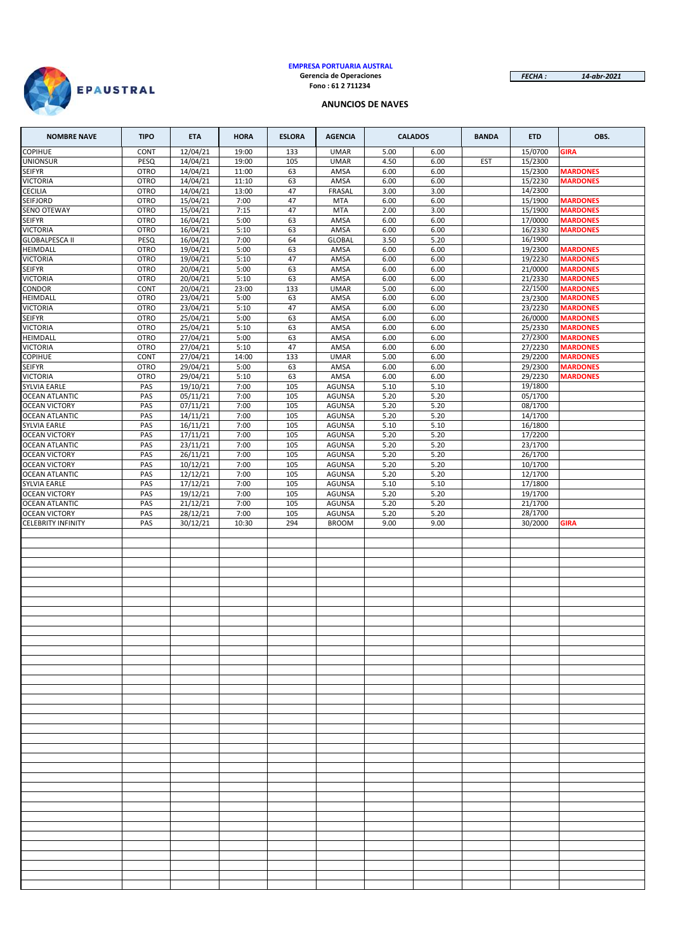

#### **EMPRESA PORTUARIA AUSTRAL Gerencia de Operaciones Fono : 61 2 711234**

*FECHA : 14-abr-2021*

## **ANUNCIOS DE NAVES**

| <b>NOMBRE NAVE</b>                                | <b>TIPO</b>                | <b>ETA</b>           | <b>HORA</b>    | <b>ESLORA</b> | <b>AGENCIA</b>                 |              | <b>CALADOS</b> | <b>BANDA</b> | <b>ETD</b>         | OBS.                               |
|---------------------------------------------------|----------------------------|----------------------|----------------|---------------|--------------------------------|--------------|----------------|--------------|--------------------|------------------------------------|
| <b>COPIHUE</b>                                    | CONT                       | 12/04/21             | 19:00          | 133           | <b>UMAR</b>                    | 5.00         | 6.00           |              | 15/0700            | <b>GIRA</b>                        |
| <b>UNIONSUR</b>                                   | PESQ                       | 14/04/21             | 19:00          | 105           | <b>UMAR</b>                    | 4.50         | 6.00           | <b>EST</b>   | 15/2300            |                                    |
| <b>SEIFYR</b>                                     | <b>OTRO</b>                | 14/04/21             | 11:00          | 63            | AMSA                           | 6.00         | 6.00           |              | 15/2300            | <b>MARDONES</b>                    |
| <b>VICTORIA</b><br><b>CECILIA</b>                 | <b>OTRO</b><br><b>OTRO</b> | 14/04/21<br>14/04/21 | 11:10<br>13:00 | 63<br>47      | AMSA<br><b>FRASAL</b>          | 6.00<br>3.00 | 6.00<br>3.00   |              | 15/2230<br>14/2300 | <b>MARDONES</b>                    |
| <b>SEIFJORD</b>                                   | <b>OTRO</b>                | 15/04/21             | 7:00           | 47            | <b>MTA</b>                     | 6.00         | 6.00           |              | 15/1900            | <b>MARDONES</b>                    |
| <b>SENO OTEWAY</b>                                | <b>OTRO</b>                | 15/04/21             | 7:15           | 47            | <b>MTA</b>                     | 2.00         | 3.00           |              | 15/1900            | <b>MARDONES</b>                    |
| <b>SEIFYR</b>                                     | <b>OTRO</b>                | 16/04/21             | 5:00           | 63            | AMSA                           | 6.00         | 6.00           |              | 17/0000            | <b>MARDONES</b>                    |
| <b>VICTORIA</b>                                   | <b>OTRO</b>                | 16/04/21             | 5:10           | 63            | AMSA                           | 6.00         | 6.00           |              | 16/2330            | <b>MARDONES</b>                    |
| <b>GLOBALPESCA II</b>                             | PESQ                       | 16/04/21             | 7:00           | 64            | <b>GLOBAL</b>                  | 3.50         | 5.20           |              | 16/1900            |                                    |
| HEIMDALL<br><b>VICTORIA</b>                       | <b>OTRO</b><br><b>OTRO</b> | 19/04/21<br>19/04/21 | 5:00<br>5:10   | 63<br>47      | AMSA<br>AMSA                   | 6.00<br>6.00 | 6.00<br>6.00   |              | 19/2300<br>19/2230 | <b>MARDONES</b><br><b>MARDONES</b> |
| <b>SEIFYR</b>                                     | <b>OTRO</b>                | 20/04/21             | 5:00           | 63            | AMSA                           | 6.00         | 6.00           |              | 21/0000            | <b>MARDONES</b>                    |
| <b>VICTORIA</b>                                   | <b>OTRO</b>                | 20/04/21             | 5:10           | 63            | AMSA                           | 6.00         | 6.00           |              | 21/2330            | <b>MARDONES</b>                    |
| <b>CONDOR</b>                                     | CONT                       | 20/04/21             | 23:00          | 133           | <b>UMAR</b>                    | 5.00         | 6.00           |              | 22/1500            | <b>MARDONES</b>                    |
| HEIMDALL                                          | <b>OTRO</b>                | 23/04/21             | 5:00           | 63            | AMSA                           | 6.00         | 6.00           |              | 23/2300            | <b>MARDONES</b>                    |
| <b>VICTORIA</b><br><b>SEIFYR</b>                  | <b>OTRO</b><br><b>OTRO</b> | 23/04/21<br>25/04/21 | 5:10<br>5:00   | 47<br>63      | AMSA<br>AMSA                   | 6.00<br>6.00 | 6.00<br>6.00   |              | 23/2230<br>26/0000 | <b>MARDONES</b><br><b>MARDONES</b> |
| <b>VICTORIA</b>                                   | <b>OTRO</b>                | 25/04/21             | 5:10           | 63            | AMSA                           | 6.00         | 6.00           |              | 25/2330            | <b>MARDONES</b>                    |
| HEIMDALL                                          | <b>OTRO</b>                | 27/04/21             | 5:00           | 63            | AMSA                           | 6.00         | 6.00           |              | 27/2300            | <b>MARDONES</b>                    |
| <b>VICTORIA</b>                                   | <b>OTRO</b>                | 27/04/21             | 5:10           | 47            | AMSA                           | 6.00         | 6.00           |              | 27/2230            | <b>MARDONES</b>                    |
| <b>COPIHUE</b>                                    | <b>CONT</b>                | 27/04/21             | 14:00          | 133           | <b>UMAR</b>                    | 5.00         | 6.00           |              | 29/2200            | <b>MARDONES</b>                    |
| <b>SEIFYR</b>                                     | <b>OTRO</b>                | 29/04/21             | 5:00           | 63            | AMSA                           | 6.00         | 6.00           |              | 29/2300            | <b>MARDONES</b>                    |
| <b>VICTORIA</b><br><b>SYLVIA EARLE</b>            | <b>OTRO</b><br>PAS         | 29/04/21<br>19/10/21 | 5:10<br>7:00   | 63<br>105     | AMSA<br><b>AGUNSA</b>          | 6.00<br>5.10 | 6.00<br>5.10   |              | 29/2230<br>19/1800 | <b>MARDONES</b>                    |
| <b>OCEAN ATLANTIC</b>                             | PAS                        | 05/11/21             | 7:00           | 105           | <b>AGUNSA</b>                  | 5.20         | 5.20           |              | 05/1700            |                                    |
| <b>OCEAN VICTORY</b>                              | PAS                        | 07/11/21             | 7:00           | 105           | <b>AGUNSA</b>                  | 5.20         | 5.20           |              | 08/1700            |                                    |
| <b>OCEAN ATLANTIC</b>                             | PAS                        | 14/11/21             | 7:00           | 105           | <b>AGUNSA</b>                  | 5.20         | 5.20           |              | 14/1700            |                                    |
| <b>SYLVIA EARLE</b>                               | PAS                        | 16/11/21             | 7:00           | 105           | <b>AGUNSA</b>                  | 5.10         | 5.10           |              | 16/1800            |                                    |
| <b>OCEAN VICTORY</b>                              | PAS                        | 17/11/21             | 7:00           | 105           | <b>AGUNSA</b>                  | 5.20         | 5.20           |              | 17/2200            |                                    |
| <b>OCEAN ATLANTIC</b><br><b>OCEAN VICTORY</b>     | PAS<br>PAS                 | 23/11/21<br>26/11/21 | 7:00<br>7:00   | 105<br>105    | <b>AGUNSA</b><br><b>AGUNSA</b> | 5.20<br>5.20 | 5.20<br>5.20   |              | 23/1700<br>26/1700 |                                    |
| <b>OCEAN VICTORY</b>                              | PAS                        | 10/12/21             | 7:00           | 105           | <b>AGUNSA</b>                  | 5.20         | 5.20           |              | 10/1700            |                                    |
| <b>OCEAN ATLANTIC</b>                             | PAS                        | 12/12/21             | 7:00           | 105           | <b>AGUNSA</b>                  | 5.20         | 5.20           |              | 12/1700            |                                    |
| <b>SYLVIA EARLE</b>                               | PAS                        | 17/12/21             | 7:00           | 105           | <b>AGUNSA</b>                  | 5.10         | 5.10           |              | 17/1800            |                                    |
| <b>OCEAN VICTORY</b>                              | PAS                        | 19/12/21             | 7:00           | 105           | <b>AGUNSA</b>                  | 5.20         | 5.20           |              | 19/1700            |                                    |
| <b>OCEAN ATLANTIC</b>                             | PAS                        | 21/12/21             | 7:00           | 105           | <b>AGUNSA</b>                  | 5.20         | 5.20           |              | 21/1700            |                                    |
| <b>OCEAN VICTORY</b><br><b>CELEBRITY INFINITY</b> | PAS<br>PAS                 | 28/12/21<br>30/12/21 | 7:00<br>10:30  | 105<br>294    | <b>AGUNSA</b><br><b>BROOM</b>  | 5.20<br>9.00 | 5.20<br>9.00   |              | 28/1700<br>30/2000 | <b>GIRA</b>                        |
|                                                   |                            |                      |                |               |                                |              |                |              |                    |                                    |
|                                                   |                            |                      |                |               |                                |              |                |              |                    |                                    |
|                                                   |                            |                      |                |               |                                |              |                |              |                    |                                    |
|                                                   |                            |                      |                |               |                                |              |                |              |                    |                                    |
|                                                   |                            |                      |                |               |                                |              |                |              |                    |                                    |
|                                                   |                            |                      |                |               |                                |              |                |              |                    |                                    |
|                                                   |                            |                      |                |               |                                |              |                |              |                    |                                    |
|                                                   |                            |                      |                |               |                                |              |                |              |                    |                                    |
|                                                   |                            |                      |                |               |                                |              |                |              |                    |                                    |
|                                                   |                            |                      |                |               |                                |              |                |              |                    |                                    |
|                                                   |                            |                      |                |               |                                |              |                |              |                    |                                    |
|                                                   |                            |                      |                |               |                                |              |                |              |                    |                                    |
|                                                   |                            |                      |                |               |                                |              |                |              |                    |                                    |
|                                                   |                            |                      |                |               |                                |              |                |              |                    |                                    |
|                                                   |                            |                      |                |               |                                |              |                |              |                    |                                    |
|                                                   |                            |                      |                |               |                                |              |                |              |                    |                                    |
|                                                   |                            |                      |                |               |                                |              |                |              |                    |                                    |
|                                                   |                            |                      |                |               |                                |              |                |              |                    |                                    |
|                                                   |                            |                      |                |               |                                |              |                |              |                    |                                    |
|                                                   |                            |                      |                |               |                                |              |                |              |                    |                                    |
|                                                   |                            |                      |                |               |                                |              |                |              |                    |                                    |
|                                                   |                            |                      |                |               |                                |              |                |              |                    |                                    |
|                                                   |                            |                      |                |               |                                |              |                |              |                    |                                    |
|                                                   |                            |                      |                |               |                                |              |                |              |                    |                                    |
|                                                   |                            |                      |                |               |                                |              |                |              |                    |                                    |
|                                                   |                            |                      |                |               |                                |              |                |              |                    |                                    |
|                                                   |                            |                      |                |               |                                |              |                |              |                    |                                    |
|                                                   |                            |                      |                |               |                                |              |                |              |                    |                                    |
|                                                   |                            |                      |                |               |                                |              |                |              |                    |                                    |
|                                                   |                            |                      |                |               |                                |              |                |              |                    |                                    |
|                                                   |                            |                      |                |               |                                |              |                |              |                    |                                    |
|                                                   |                            |                      |                |               |                                |              |                |              |                    |                                    |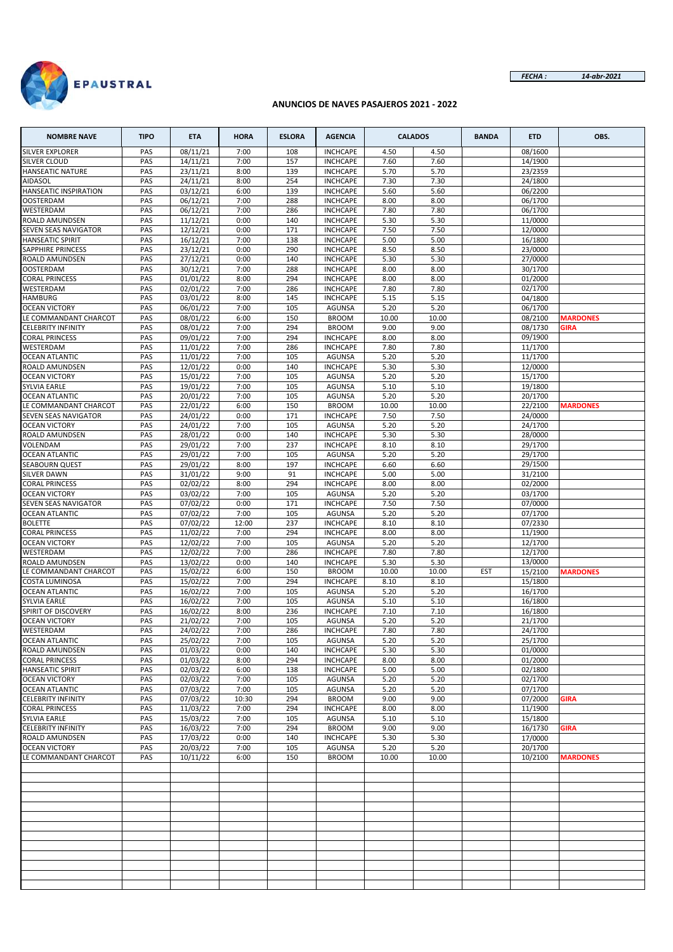

#### **ANUNCIOS DE NAVES PASAJEROS 2021 - 2022**

| <b>NOMBRE NAVE</b>                                 | <b>TIPO</b> | <b>ETA</b>           | <b>HORA</b>  | <b>ESLORA</b> | <b>AGENCIA</b>                     |              | <b>CALADOS</b> | <b>BANDA</b> | <b>ETD</b>         | OBS.            |
|----------------------------------------------------|-------------|----------------------|--------------|---------------|------------------------------------|--------------|----------------|--------------|--------------------|-----------------|
| <b>SILVER EXPLORER</b>                             | PAS         | 08/11/21             | 7:00         | 108           | <b>INCHCAPE</b>                    | 4.50         | 4.50           |              | 08/1600            |                 |
| SILVER CLOUD                                       | PAS         | 14/11/21             | 7:00         | 157           | <b>INCHCAPE</b>                    | 7.60         | 7.60           |              | 14/1900            |                 |
| <b>HANSEATIC NATURE</b>                            | PAS         | 23/11/21             | 8:00         | 139           | <b>INCHCAPE</b>                    | 5.70         | 5.70           |              | 23/2359            |                 |
| <b>AIDASOL</b>                                     | PAS         | 24/11/21             | 8:00         | 254           | <b>INCHCAPE</b>                    | 7.30         | 7.30           |              | 24/1800            |                 |
| HANSEATIC INSPIRATION                              | PAS         | 03/12/21             | 6:00         | 139           | <b>INCHCAPE</b>                    | 5.60         | 5.60           |              | 06/2200            |                 |
| <b>OOSTERDAM</b><br>WESTERDAM                      | PAS<br>PAS  | 06/12/21<br>06/12/21 | 7:00<br>7:00 | 288<br>286    | <b>INCHCAPE</b><br><b>INCHCAPE</b> | 8.00<br>7.80 | 8.00<br>7.80   |              | 06/1700<br>06/1700 |                 |
| ROALD AMUNDSEN                                     | PAS         | 11/12/21             | 0:00         | 140           | <b>INCHCAPE</b>                    | 5.30         | 5.30           |              | 11/0000            |                 |
| SEVEN SEAS NAVIGATOR                               | PAS         | 12/12/21             | 0:00         | 171           | <b>INCHCAPE</b>                    | 7.50         | 7.50           |              | 12/0000            |                 |
| <b>HANSEATIC SPIRIT</b>                            | PAS         | 16/12/21             | 7:00         | 138           | <b>INCHCAPE</b>                    | 5.00         | 5.00           |              | 16/1800            |                 |
| SAPPHIRE PRINCESS                                  | PAS         | 23/12/21             | 0:00         | 290           | <b>INCHCAPE</b>                    | 8.50         | 8.50           |              | 23/0000            |                 |
| <b>ROALD AMUNDSEN</b>                              | PAS         | 27/12/21             | 0:00         | 140           | <b>INCHCAPE</b>                    | 5.30         | 5.30           |              | 27/0000            |                 |
| OOSTERDAM                                          | PAS         | 30/12/21             | 7:00         | 288           | <b>INCHCAPE</b>                    | 8.00         | 8.00           |              | 30/1700            |                 |
| <b>CORAL PRINCESS</b>                              | PAS         | 01/01/22             | 8:00         | 294           | <b>INCHCAPE</b>                    | 8.00         | 8.00           |              | 01/2000            |                 |
| WESTERDAM                                          | PAS         | 02/01/22             | 7:00         | 286           | <b>INCHCAPE</b>                    | 7.80         | 7.80           |              | 02/1700            |                 |
| <b>HAMBURG</b>                                     | PAS         | 03/01/22             | 8:00         | 145           | <b>INCHCAPE</b>                    | 5.15         | 5.15           |              | 04/1800            |                 |
| <b>OCEAN VICTORY</b>                               | PAS         | 06/01/22             | 7:00         | 105           | <b>AGUNSA</b>                      | 5.20         | 5.20           |              | 06/1700            |                 |
| LE COMMANDANT CHARCOT                              | PAS         | 08/01/22             | 6:00         | 150           | <b>BROOM</b>                       | 10.00        | 10.00          |              | 08/2100            | <b>MARDONES</b> |
| <b>CELEBRITY INFINITY</b><br><b>CORAL PRINCESS</b> | PAS<br>PAS  | 08/01/22<br>09/01/22 | 7:00<br>7:00 | 294<br>294    | <b>BROOM</b><br><b>INCHCAPE</b>    | 9.00<br>8.00 | 9.00<br>8.00   |              | 08/1730<br>09/1900 | <b>GIRA</b>     |
| WESTERDAM                                          | PAS         | 11/01/22             | 7:00         | 286           | <b>INCHCAPE</b>                    | 7.80         | 7.80           |              | 11/1700            |                 |
| <b>OCEAN ATLANTIC</b>                              | PAS         | 11/01/22             | 7:00         | 105           | <b>AGUNSA</b>                      | 5.20         | 5.20           |              | 11/1700            |                 |
| ROALD AMUNDSEN                                     | PAS         | 12/01/22             | 0:00         | 140           | <b>INCHCAPE</b>                    | 5.30         | 5.30           |              | 12/0000            |                 |
| <b>OCEAN VICTORY</b>                               | PAS         | 15/01/22             | 7:00         | 105           | <b>AGUNSA</b>                      | 5.20         | 5.20           |              | 15/1700            |                 |
| <b>SYLVIA EARLE</b>                                | PAS         | 19/01/22             | 7:00         | 105           | <b>AGUNSA</b>                      | 5.10         | 5.10           |              | 19/1800            |                 |
| <b>OCEAN ATLANTIC</b>                              | PAS         | 20/01/22             | 7:00         | 105           | <b>AGUNSA</b>                      | 5.20         | 5.20           |              | 20/1700            |                 |
| LE COMMANDANT CHARCOT                              | PAS         | 22/01/22             | 6:00         | 150           | <b>BROOM</b>                       | 10.00        | 10.00          |              | 22/2100            | <b>MARDONES</b> |
| SEVEN SEAS NAVIGATOR                               | PAS         | 24/01/22             | 0:00         | 171           | <b>INCHCAPE</b>                    | 7.50         | 7.50           |              | 24/0000            |                 |
| <b>OCEAN VICTORY</b>                               | PAS         | 24/01/22             | 7:00         | 105           | <b>AGUNSA</b>                      | 5.20         | 5.20           |              | 24/1700            |                 |
| ROALD AMUNDSEN                                     | PAS         | 28/01/22             | 0:00         | 140           | <b>INCHCAPE</b>                    | 5.30         | 5.30           |              | 28/0000            |                 |
| VOLENDAM                                           | PAS         | 29/01/22             | 7:00         | 237           | <b>INCHCAPE</b>                    | 8.10         | 8.10           |              | 29/1700            |                 |
| <b>OCEAN ATLANTIC</b>                              | PAS         | 29/01/22             | 7:00         | 105           | <b>AGUNSA</b>                      | 5.20         | 5.20           |              | 29/1700            |                 |
| <b>SEABOURN QUEST</b>                              | PAS         | 29/01/22             | 8:00         | 197           | <b>INCHCAPE</b>                    | 6.60         | 6.60           |              | 29/1500            |                 |
| <b>SILVER DAWN</b><br><b>CORAL PRINCESS</b>        | PAS<br>PAS  | 31/01/22<br>02/02/22 | 9:00<br>8:00 | 91<br>294     | <b>INCHCAPE</b><br><b>INCHCAPE</b> | 5.00<br>8.00 | 5.00<br>8.00   |              | 31/2100<br>02/2000 |                 |
| <b>OCEAN VICTORY</b>                               | PAS         | 03/02/22             | 7:00         | 105           | <b>AGUNSA</b>                      | 5.20         | 5.20           |              | 03/1700            |                 |
| SEVEN SEAS NAVIGATOR                               | PAS         | 07/02/22             | 0:00         | 171           | <b>INCHCAPE</b>                    | 7.50         | 7.50           |              | 07/0000            |                 |
| <b>OCEAN ATLANTIC</b>                              | PAS         | 07/02/22             | 7:00         | 105           | <b>AGUNSA</b>                      | 5.20         | 5.20           |              | 07/1700            |                 |
| <b>BOLETTE</b>                                     | PAS         | 07/02/22             | 12:00        | 237           | <b>INCHCAPE</b>                    | 8.10         | 8.10           |              | 07/2330            |                 |
| <b>CORAL PRINCESS</b>                              | PAS         | 11/02/22             | 7:00         | 294           | <b>INCHCAPE</b>                    | 8.00         | 8.00           |              | 11/1900            |                 |
| <b>OCEAN VICTORY</b>                               | PAS         | 12/02/22             | 7:00         | 105           | <b>AGUNSA</b>                      | 5.20         | 5.20           |              | 12/1700            |                 |
| WESTERDAM                                          | PAS         | 12/02/22             | 7:00         | 286           | <b>INCHCAPE</b>                    | 7.80         | 7.80           |              | 12/1700            |                 |
| ROALD AMUNDSEN                                     | PAS         | 13/02/22             | 0:00         | 140           | <b>INCHCAPE</b>                    | 5.30         | 5.30           |              | 13/0000            |                 |
| LE COMMANDANT CHARCOT                              | PAS         | 15/02/22             | 6:00         | 150           | <b>BROOM</b>                       | 10.00        | 10.00          | <b>EST</b>   | 15/2100            | <b>MARDONES</b> |
| <b>COSTA LUMINOSA</b>                              | PAS         | 15/02/22             | 7:00         | 294           | <b>INCHCAPE</b>                    | 8.10         | 8.10           |              | 15/1800            |                 |
| <b>OCEAN ATLANTIC</b>                              | PAS<br>PAS  | 16/02/22<br>16/02/22 | 7:00<br>7:00 | 105<br>105    | <b>AGUNSA</b><br>AGUNSA            | 5.20<br>5.10 | 5.20<br>5.10   |              | 16/1700            |                 |
| <b>SYLVIA EARLE</b><br>SPIRIT OF DISCOVERY         | PAS         | 16/02/22             | 8:00         | 236           | <b>INCHCAPE</b>                    | 7.10         | 7.10           |              | 16/1800<br>16/1800 |                 |
| <b>OCEAN VICTORY</b>                               | PAS         | 21/02/22             | 7:00         | 105           | <b>AGUNSA</b>                      | 5.20         | 5.20           |              | 21/1700            |                 |
| WESTERDAM                                          | PAS         | 24/02/22             | 7:00         | 286           | <b>INCHCAPE</b>                    | 7.80         | 7.80           |              | 24/1700            |                 |
| <b>OCEAN ATLANTIC</b>                              | PAS         | 25/02/22             | 7:00         | 105           | <b>AGUNSA</b>                      | 5.20         | 5.20           |              | 25/1700            |                 |
| ROALD AMUNDSEN                                     | PAS         | 01/03/22             | 0:00         | 140           | <b>INCHCAPE</b>                    | 5.30         | 5.30           |              | 01/0000            |                 |
| <b>CORAL PRINCESS</b>                              | PAS         | 01/03/22             | 8:00         | 294           | <b>INCHCAPE</b>                    | 8.00         | 8.00           |              | 01/2000            |                 |
| <b>HANSEATIC SPIRIT</b>                            | PAS         | 02/03/22             | 6:00         | 138           | <b>INCHCAPE</b>                    | 5.00         | 5.00           |              | 02/1800            |                 |
| <b>OCEAN VICTORY</b>                               | PAS         | 02/03/22             | 7:00         | 105           | AGUNSA                             | 5.20         | 5.20           |              | 02/1700            |                 |
| <b>OCEAN ATLANTIC</b>                              | PAS         | 07/03/22             | 7:00         | 105           | <b>AGUNSA</b>                      | 5.20         | 5.20           |              | 07/1700            |                 |
| <b>CELEBRITY INFINITY</b>                          | PAS         | 07/03/22             | 10:30        | 294           | <b>BROOM</b>                       | 9.00         | 9.00           |              | 07/2000            | <b>GIRA</b>     |
| <b>CORAL PRINCESS</b>                              | PAS         | 11/03/22             | 7:00         | 294           | <b>INCHCAPE</b>                    | 8.00         | 8.00           |              | 11/1900            |                 |
| <b>SYLVIA EARLE</b>                                | PAS         | 15/03/22             | 7:00         | 105           | <b>AGUNSA</b>                      | 5.10         | 5.10           |              | 15/1800            |                 |
| <b>CELEBRITY INFINITY</b><br>ROALD AMUNDSEN        | PAS<br>PAS  | 16/03/22<br>17/03/22 | 7:00<br>0:00 | 294<br>140    | <b>BROOM</b><br><b>INCHCAPE</b>    | 9.00<br>5.30 | 9.00<br>5.30   |              | 16/1730<br>17/0000 | <b>GIRA</b>     |
| <b>OCEAN VICTORY</b>                               | PAS         | 20/03/22             | 7:00         | 105           | AGUNSA                             | 5.20         | 5.20           |              | 20/1700            |                 |
| LE COMMANDANT CHARCOT                              | PAS         | 10/11/22             | 6:00         | 150           | <b>BROOM</b>                       | 10.00        | 10.00          |              | 10/2100            | <b>MARDONES</b> |
|                                                    |             |                      |              |               |                                    |              |                |              |                    |                 |
|                                                    |             |                      |              |               |                                    |              |                |              |                    |                 |
|                                                    |             |                      |              |               |                                    |              |                |              |                    |                 |
|                                                    |             |                      |              |               |                                    |              |                |              |                    |                 |
|                                                    |             |                      |              |               |                                    |              |                |              |                    |                 |
|                                                    |             |                      |              |               |                                    |              |                |              |                    |                 |
|                                                    |             |                      |              |               |                                    |              |                |              |                    |                 |
|                                                    |             |                      |              |               |                                    |              |                |              |                    |                 |
|                                                    |             |                      |              |               |                                    |              |                |              |                    |                 |
|                                                    |             |                      |              |               |                                    |              |                |              |                    |                 |
|                                                    |             |                      |              |               |                                    |              |                |              |                    |                 |
|                                                    |             |                      |              |               |                                    |              |                |              |                    |                 |
|                                                    |             |                      |              |               |                                    |              |                |              |                    |                 |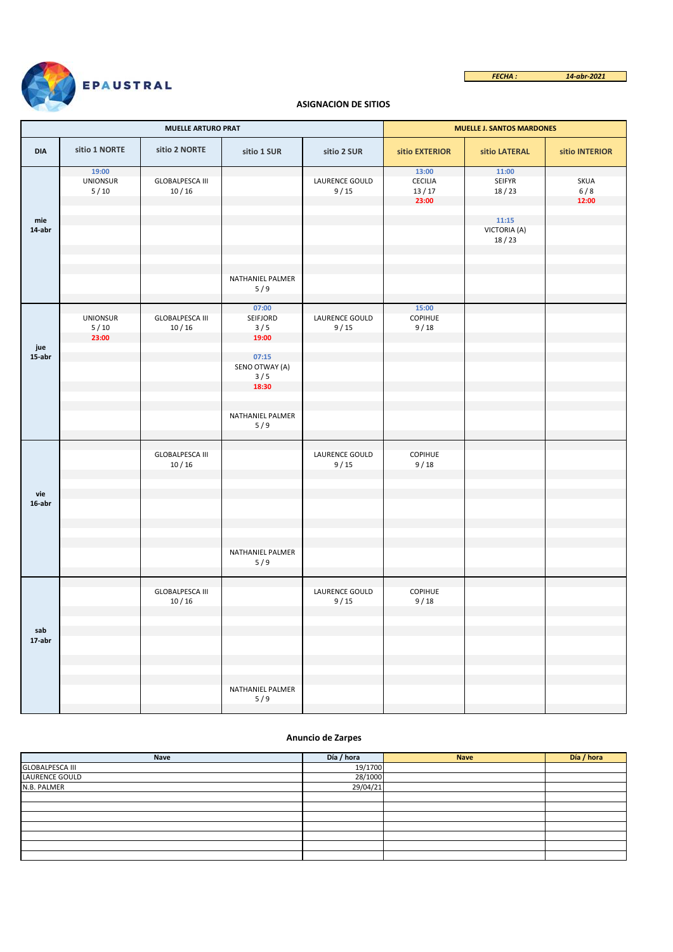

*FECHA : 14-abr-2021* Г

# **ASIGNACIÓN DE SITIOS**

|               |                                    | <b>MUELLE ARTURO PRAT</b>             | <b>MUELLE J. SANTOS MARDONES</b>        |                        |                                      |                                  |                      |
|---------------|------------------------------------|---------------------------------------|-----------------------------------------|------------------------|--------------------------------------|----------------------------------|----------------------|
| <b>DIA</b>    | sitio 1 NORTE                      | sitio 2 NORTE                         | sitio 1 SUR                             | sitio 2 SUR            | sitio EXTERIOR                       | sitio LATERAL                    | sitio INTERIOR       |
|               | 19:00<br><b>UNIONSUR</b><br>$5/10$ | <b>GLOBALPESCA III</b><br>10/16       |                                         | LAURENCE GOULD<br>9/15 | 13:00<br>CECILIA<br>$13/17$<br>23:00 | 11:00<br>SEIFYR<br>18/23         | SKUA<br>6/8<br>12:00 |
| mie<br>14-abr |                                    |                                       |                                         |                        |                                      | 11:15<br>VICTORIA (A)<br>$18/23$ |                      |
|               |                                    |                                       | NATHANIEL PALMER<br>5/9                 |                        |                                      |                                  |                      |
| jue           | <b>UNIONSUR</b><br>$5/10$<br>23:00 | <b>GLOBALPESCA III</b><br>$10/16$     | 07:00<br>SEIFJORD<br>3/5<br>19:00       | LAURENCE GOULD<br>9/15 | 15:00<br>COPIHUE<br>9/18             |                                  |                      |
| 15-abr        |                                    |                                       | 07:15<br>SENO OTWAY (A)<br>3/5<br>18:30 |                        |                                      |                                  |                      |
|               |                                    |                                       | NATHANIEL PALMER<br>5/9                 |                        |                                      |                                  |                      |
|               |                                    | <b>GLOBALPESCA III</b><br>$10/16$     |                                         | LAURENCE GOULD<br>9/15 | COPIHUE<br>9/18                      |                                  |                      |
| vie<br>16-abr |                                    |                                       |                                         |                        |                                      |                                  |                      |
|               |                                    |                                       | NATHANIEL PALMER<br>5/9                 |                        |                                      |                                  |                      |
|               |                                    | <b>GLOBALPESCA III</b><br>$10\,/\,16$ |                                         | LAURENCE GOULD<br>9/15 | COPIHUE<br>9/18                      |                                  |                      |
| sab<br>17-abr |                                    |                                       |                                         |                        |                                      |                                  |                      |
|               |                                    |                                       | NATHANIEL PALMER<br>5/9                 |                        |                                      |                                  |                      |

## **Anuncio de Zarpes**

| Nave                   | Día / hora | <b>Nave</b> | Día / hora |
|------------------------|------------|-------------|------------|
| <b>GLOBALPESCA III</b> | 19/1700    |             |            |
| LAURENCE GOULD         | 28/1000    |             |            |
| N.B. PALMER            | 29/04/21   |             |            |
|                        |            |             |            |
|                        |            |             |            |
|                        |            |             |            |
|                        |            |             |            |
|                        |            |             |            |
|                        |            |             |            |
|                        |            |             |            |